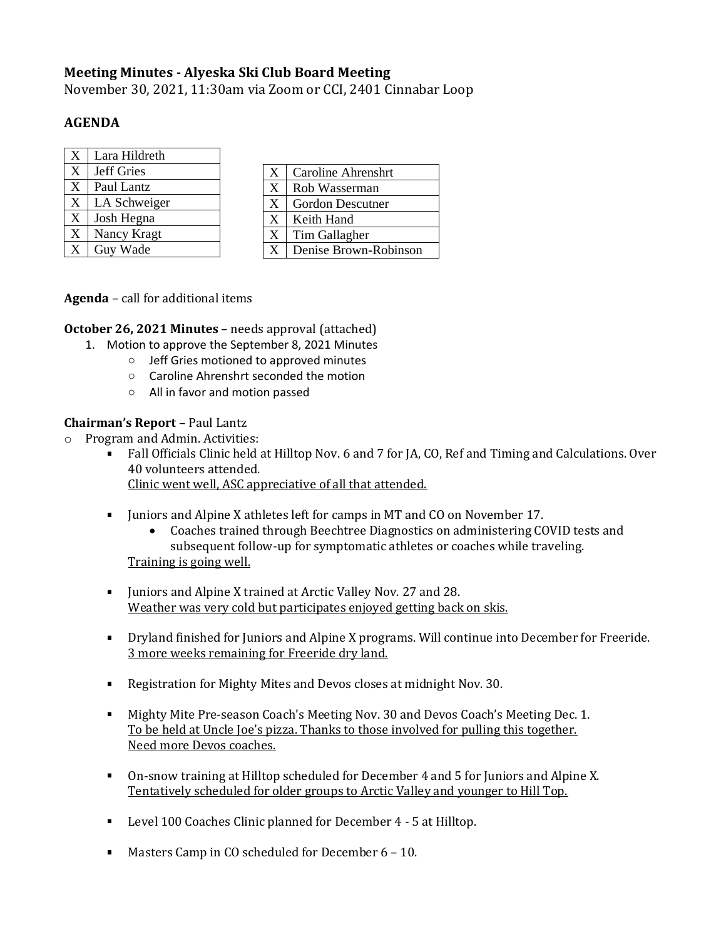# **Meeting Minutes - Alyeska Ski Club Board Meeting**

November 30, 2021, 11:30am via Zoom or CCI, 2401 Cinnabar Loop

## **AGENDA**

| X | Lara Hildreth |
|---|---------------|
| X | Jeff Gries    |
| X | Paul Lantz    |
| X | LA Schweiger  |
| X | Josh Hegna    |
| X | Nancy Kragt   |
| X | Guy Wade      |

| X | <b>Caroline Ahrenshrt</b> |
|---|---------------------------|
| X | Rob Wasserman             |
| X | <b>Gordon Descutner</b>   |
| X | Keith Hand                |
| X | Tim Gallagher             |
| X | Denise Brown-Robinson     |

**Agenda** – call for additional items

**October 26, 2021 Minutes** – needs approval (attached)

- 1. Motion to approve the September 8, 2021 Minutes
	- o Jeff Gries motioned to approved minutes
	- o Caroline Ahrenshrt seconded the motion
	- o All in favor and motion passed

### **Chairman's Report** – Paul Lantz

- o Program and Admin. Activities:
	- Fall Officials Clinic held at Hilltop Nov. 6 and 7 for JA, CO, Ref and Timing and Calculations. Over 40 volunteers attended. Clinic went well, ASC appreciative of all that attended.
	- I Juniors and Alpine X athletes left for camps in MT and CO on November 17.
		- Coaches trained through Beechtree Diagnostics on administering COVID tests and subsequent follow-up for symptomatic athletes or coaches while traveling.

Training is going well.

- **Juniors and Alpine X trained at Arctic Valley Nov. 27 and 28.** Weather was very cold but participates enjoyed getting back on skis.
- **•** Dryland finished for Juniors and Alpine X programs. Will continue into December for Freeride. 3 more weeks remaining for Freeride dry land.
- Registration for Mighty Mites and Devos closes at midnight Nov. 30.
- Mighty Mite Pre-season Coach's Meeting Nov. 30 and Devos Coach's Meeting Dec. 1. To be held at Uncle Joe's pizza. Thanks to those involved for pulling this together. Need more Devos coaches.
- On-snow training at Hilltop scheduled for December 4 and 5 for Juniors and Alpine X. Tentatively scheduled for older groups to Arctic Valley and younger to Hill Top.
- Level 100 Coaches Clinic planned for December 4 5 at Hilltop.
- **Masters Camp in CO scheduled for December 6 10.**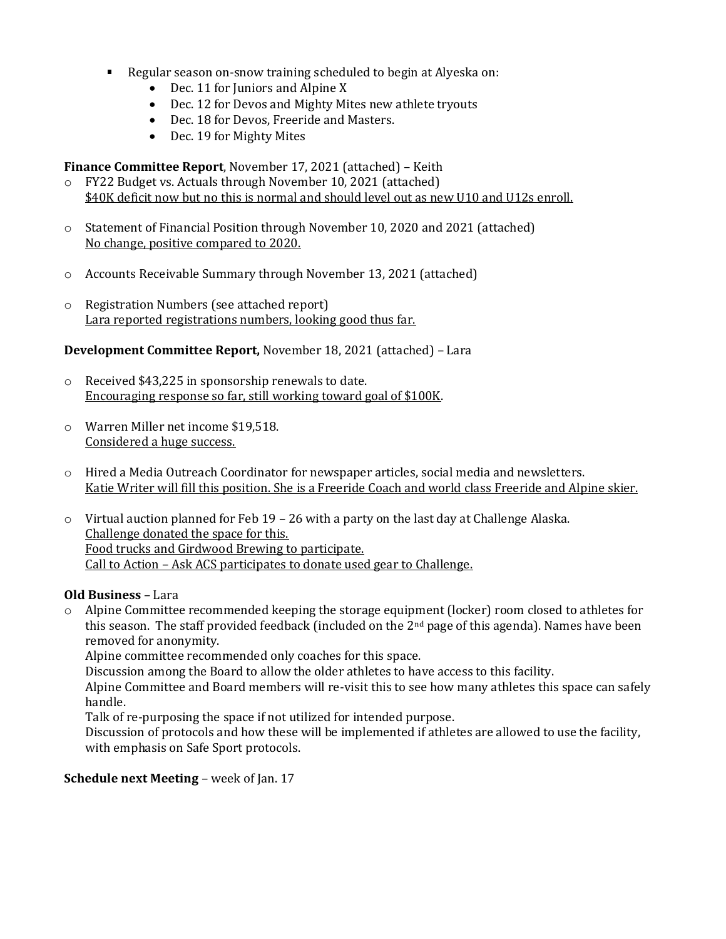- Regular season on-snow training scheduled to begin at Alyeska on:
	- Dec. 11 for Juniors and Alpine X
	- Dec. 12 for Devos and Mighty Mites new athlete tryouts
	- Dec. 18 for Devos, Freeride and Masters.
	- Dec. 19 for Mighty Mites

**Finance Committee Report**, November 17, 2021 (attached) – Keith

- o FY22 Budget vs. Actuals through November 10, 2021 (attached) \$40K deficit now but no this is normal and should level out as new U10 and U12s enroll.
- o Statement of Financial Position through November 10, 2020 and 2021 (attached) No change, positive compared to 2020.
- o Accounts Receivable Summary through November 13, 2021 (attached)
- o Registration Numbers (see attached report) Lara reported registrations numbers, looking good thus far.

### **Development Committee Report,** November 18, 2021 (attached) – Lara

- o Received \$43,225 in sponsorship renewals to date. Encouraging response so far, still working toward goal of \$100K.
- o Warren Miller net income \$19,518. Considered a huge success.
- o Hired a Media Outreach Coordinator for newspaper articles, social media and newsletters. Katie Writer will fill this position. She is a Freeride Coach and world class Freeride and Alpine skier.
- $\circ$  Virtual auction planned for Feb 19 26 with a party on the last day at Challenge Alaska. Challenge donated the space for this. Food trucks and Girdwood Brewing to participate. Call to Action – Ask ACS participates to donate used gear to Challenge.

### **Old Business** – Lara

 $\circ$  Alpine Committee recommended keeping the storage equipment (locker) room closed to athletes for this season. The staff provided feedback (included on the 2nd page of this agenda). Names have been removed for anonymity.

Alpine committee recommended only coaches for this space.

Discussion among the Board to allow the older athletes to have access to this facility.

Alpine Committee and Board members will re-visit this to see how many athletes this space can safely handle.

Talk of re-purposing the space if not utilized for intended purpose.

Discussion of protocols and how these will be implemented if athletes are allowed to use the facility, with emphasis on Safe Sport protocols.

#### **Schedule next Meeting** – week of Jan. 17